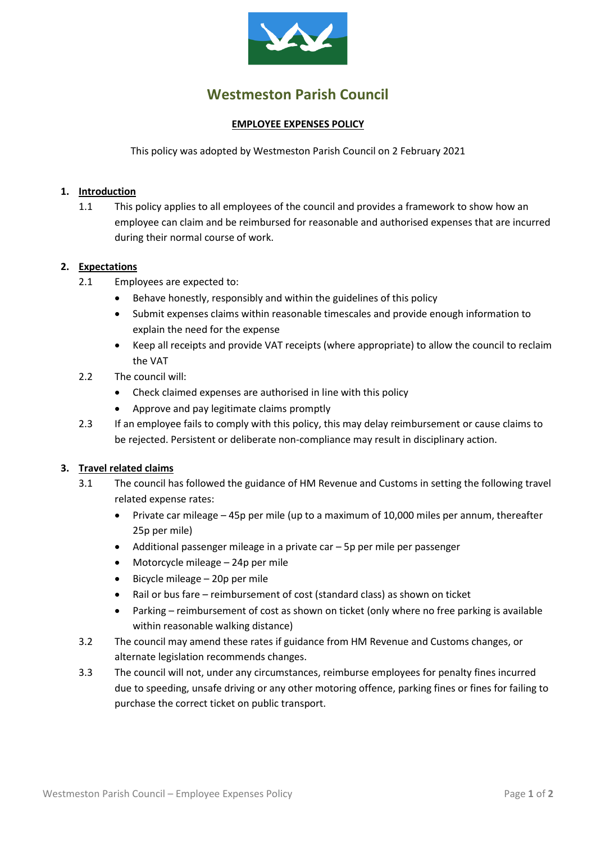

# **Westmeston Parish Council**

## **EMPLOYEE EXPENSES POLICY**

This policy was adopted by Westmeston Parish Council on 2 February 2021

## **1. Introduction**

1.1 This policy applies to all employees of the council and provides a framework to show how an employee can claim and be reimbursed for reasonable and authorised expenses that are incurred during their normal course of work.

## **2. Expectations**

- 2.1 Employees are expected to:
	- Behave honestly, responsibly and within the guidelines of this policy
	- Submit expenses claims within reasonable timescales and provide enough information to explain the need for the expense
	- Keep all receipts and provide VAT receipts (where appropriate) to allow the council to reclaim the VAT
- 2.2 The council will:
	- Check claimed expenses are authorised in line with this policy
	- Approve and pay legitimate claims promptly
- 2.3 If an employee fails to comply with this policy, this may delay reimbursement or cause claims to be rejected. Persistent or deliberate non-compliance may result in disciplinary action.

#### **3. Travel related claims**

- 3.1 The council has followed the guidance of HM Revenue and Customs in setting the following travel related expense rates:
	- Private car mileage 45p per mile (up to a maximum of 10,000 miles per annum, thereafter 25p per mile)
	- Additional passenger mileage in a private car 5p per mile per passenger
	- Motorcycle mileage 24p per mile
	- Bicycle mileage 20p per mile
	- Rail or bus fare reimbursement of cost (standard class) as shown on ticket
	- Parking reimbursement of cost as shown on ticket (only where no free parking is available within reasonable walking distance)
- 3.2 The council may amend these rates if guidance from HM Revenue and Customs changes, or alternate legislation recommends changes.
- 3.3 The council will not, under any circumstances, reimburse employees for penalty fines incurred due to speeding, unsafe driving or any other motoring offence, parking fines or fines for failing to purchase the correct ticket on public transport.